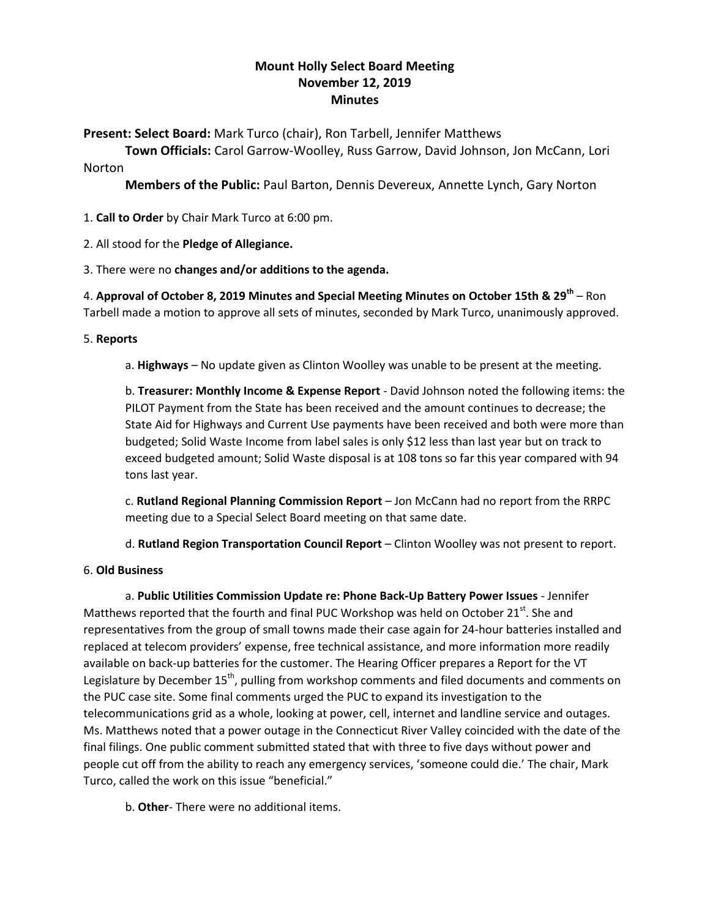# **Mount Holly Select Board Meeting November 12, 2019 Minutes**

**Present: Select Board:** Mark Turco (chair), Ron Tarbell, Jennifer Matthews

**Town Officials:** Carol Garrow-Woolley, Russ Garrow, David Johnson, Jon McCann, Lori Norton

**Members of the Public:** Paul Barton, Dennis Devereux, Annette Lynch, Gary Norton

- 1. **Call to Order** by Chair Mark Turco at 6:00 pm.
- 2. All stood for the **Pledge of Allegiance.**

3. There were no **changes and/or additions to the agenda.**

4. **Approval of October 8, 2019 Minutes and Special Meeting Minutes on October 15th & 29th** – Ron Tarbell made a motion to approve all sets of minutes, seconded by Mark Turco, unanimously approved.

## 5. **Reports**

a. **Highways** – No update given as Clinton Woolley was unable to be present at the meeting.

b. **Treasurer: Monthly Income & Expense Report** - David Johnson noted the following items: the PILOT Payment from the State has been received and the amount continues to decrease; the State Aid for Highways and Current Use payments have been received and both were more than budgeted; Solid Waste Income from label sales is only \$12 less than last year but on track to exceed budgeted amount; Solid Waste disposal is at 108 tons so far this year compared with 94 tons last year.

c. **Rutland Regional Planning Commission Report** – Jon McCann had no report from the RRPC meeting due to a Special Select Board meeting on that same date.

d. **Rutland Region Transportation Council Report** – Clinton Woolley was not present to report.

### 6. **Old Business**

a. **Public Utilities Commission Update re: Phone Back-Up Battery Power Issues** - Jennifer Matthews reported that the fourth and final PUC Workshop was held on October 21 $^{st}$ . She and representatives from the group of small towns made their case again for 24-hour batteries installed and replaced at telecom providers' expense, free technical assistance, and more information more readily available on back-up batteries for the customer. The Hearing Officer prepares a Report for the VT Legislature by December 15<sup>th</sup>, pulling from workshop comments and filed documents and comments on the PUC case site. Some final comments urged the PUC to expand its investigation to the telecommunications grid as a whole, looking at power, cell, internet and landline service and outages. Ms. Matthews noted that a power outage in the Connecticut River Valley coincided with the date of the final filings. One public comment submitted stated that with three to five days without power and people cut off from the ability to reach any emergency services, 'someone could die.' The chair, Mark Turco, called the work on this issue "beneficial."

b. **Other**- There were no additional items.